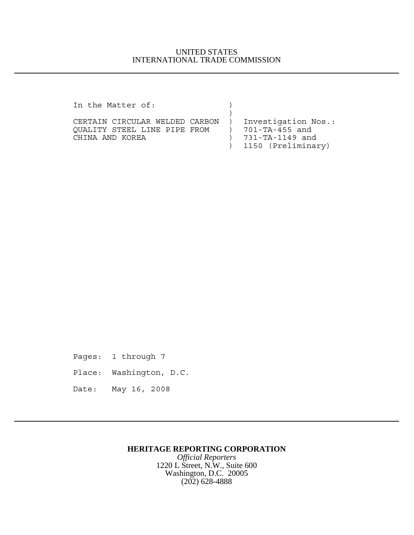## UNITED STATES INTERNATIONAL TRADE COMMISSION

In the Matter of: )

| CERTAIN CIRCULAR WELDED CARBON | Investigation Nos.:  |
|--------------------------------|----------------------|
| OUALITY STEEL LINE PIPE FROM   | 701-TA-455 and       |
| CHINA AND KOREA                | 731-TA-1149 and      |
|                                | ) 1150 (Preliminary) |

Pages: 1 through 7

- Place: Washington, D.C.
- Date: May 16, 2008

## **HERITAGE REPORTING CORPORATION**

*Official Reporters* 1220 L Street, N.W., Suite 600 Washington, D.C. 20005 (202) 628-4888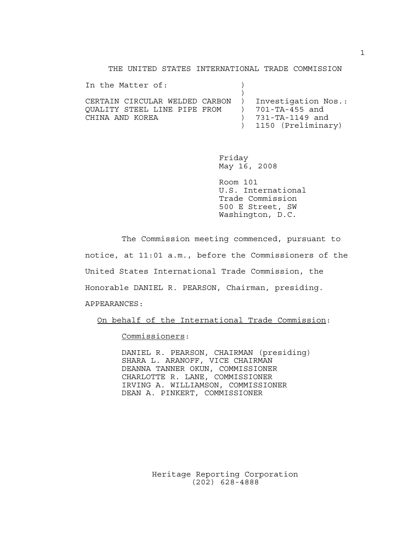THE UNITED STATES INTERNATIONAL TRADE COMMISSION

| In the Matter of:                                    |  |                                         |
|------------------------------------------------------|--|-----------------------------------------|
| CERTAIN CIRCULAR WELDED CARBON ) Investigation Nos.: |  |                                         |
| QUALITY STEEL LINE PIPE FROM                         |  | 701-TA-455 and                          |
| CHINA AND KOREA                                      |  | 731-TA-1149 and<br>) 1150 (Preliminary) |
|                                                      |  |                                         |

Friday May 16, 2008

Room 101 U.S. International Trade Commission 500 E Street, SW Washington, D.C.

The Commission meeting commenced, pursuant to notice, at 11:01 a.m., before the Commissioners of the United States International Trade Commission, the Honorable DANIEL R. PEARSON, Chairman, presiding. APPEARANCES:

On behalf of the International Trade Commission:

Commissioners:

DANIEL R. PEARSON, CHAIRMAN (presiding) SHARA L. ARANOFF, VICE CHAIRMAN DEANNA TANNER OKUN, COMMISSIONER CHARLOTTE R. LANE, COMMISSIONER IRVING A. WILLIAMSON, COMMISSIONER DEAN A. PINKERT, COMMISSIONER

> Heritage Reporting Corporation (202) 628-4888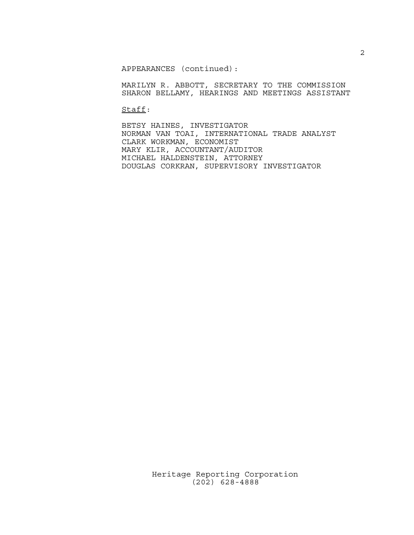APPEARANCES (continued):

MARILYN R. ABBOTT, SECRETARY TO THE COMMISSION SHARON BELLAMY, HEARINGS AND MEETINGS ASSISTANT

Staff:

BETSY HAINES, INVESTIGATOR NORMAN VAN TOAI, INTERNATIONAL TRADE ANALYST CLARK WORKMAN, ECONOMIST MARY KLIR, ACCOUNTANT/AUDITOR MICHAEL HALDENSTEIN, ATTORNEY DOUGLAS CORKRAN, SUPERVISORY INVESTIGATOR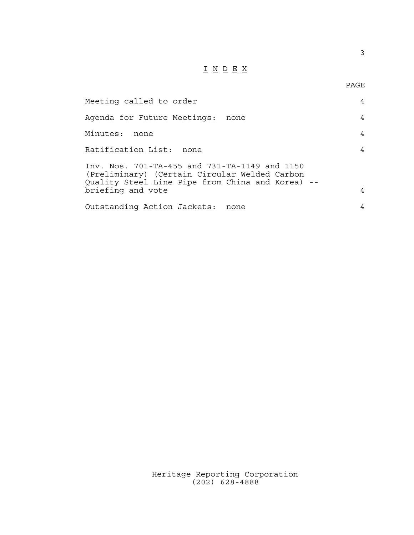## $\underline{\texttt{I}} \underline{\texttt{N}} \underline{\texttt{D}} \underline{\texttt{E}} \underline{\texttt{X}}$

3

| PAGE |
|------|
|      |

| Meeting called to order                                                                                                                                                 | 4 |
|-------------------------------------------------------------------------------------------------------------------------------------------------------------------------|---|
| Agenda for Future Meetings:<br>none                                                                                                                                     | 4 |
| Minutes:<br>none                                                                                                                                                        | 4 |
| Ratification List: none                                                                                                                                                 | 4 |
| Inv. Nos. 701-TA-455 and 731-TA-1149 and 1150<br>(Preliminary) (Certain Circular Welded Carbon<br>Quality Steel Line Pipe from China and Korea) --<br>briefing and vote | 4 |
| Outstanding Action Jackets:<br>none                                                                                                                                     | 4 |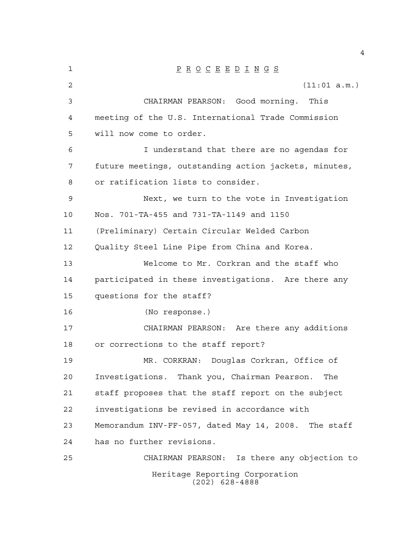| 1  | $\underline{P} \underline{R} \underline{O} \underline{C} \underline{E} \underline{E} \underline{D} \underline{I} \underline{N} \underline{G} \underline{S}$ |
|----|-------------------------------------------------------------------------------------------------------------------------------------------------------------|
| 2  | (11:01 a.m.)                                                                                                                                                |
| 3  | CHAIRMAN PEARSON: Good morning. This                                                                                                                        |
| 4  | meeting of the U.S. International Trade Commission                                                                                                          |
| 5  | will now come to order.                                                                                                                                     |
| 6  | I understand that there are no agendas for                                                                                                                  |
| 7  | future meetings, outstanding action jackets, minutes,                                                                                                       |
| 8  | or ratification lists to consider.                                                                                                                          |
| 9  | Next, we turn to the vote in Investigation                                                                                                                  |
| 10 | Nos. 701-TA-455 and 731-TA-1149 and 1150                                                                                                                    |
| 11 | (Preliminary) Certain Circular Welded Carbon                                                                                                                |
| 12 | Quality Steel Line Pipe from China and Korea.                                                                                                               |
| 13 | Welcome to Mr. Corkran and the staff who                                                                                                                    |
| 14 | participated in these investigations. Are there any                                                                                                         |
| 15 | questions for the staff?                                                                                                                                    |
| 16 | (No response.)                                                                                                                                              |
| 17 | CHAIRMAN PEARSON: Are there any additions                                                                                                                   |
| 18 | or corrections to the staff report?                                                                                                                         |
| 19 | MR. CORKRAN: Douglas Corkran, Office of                                                                                                                     |
| 20 | Investigations. Thank you, Chairman Pearson.<br>The                                                                                                         |
| 21 | staff proposes that the staff report on the subject                                                                                                         |
| 22 | investigations be revised in accordance with                                                                                                                |
| 23 | Memorandum INV-FF-057, dated May 14, 2008. The staff                                                                                                        |
| 24 | has no further revisions.                                                                                                                                   |
| 25 | Is there any objection to<br>CHAIRMAN PEARSON:                                                                                                              |
|    | Heritage Reporting Corporation<br>$(202)$ 628-4888                                                                                                          |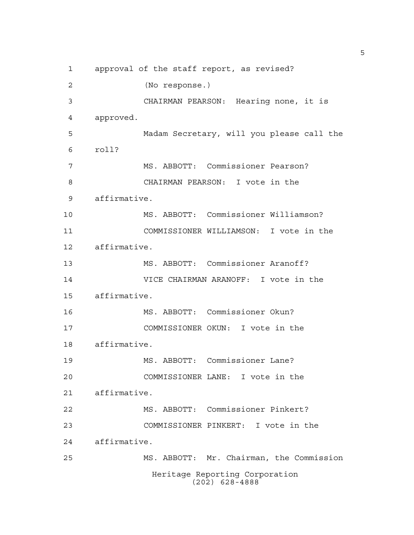Heritage Reporting Corporation (202) 628-4888 approval of the staff report, as revised? (No response.) CHAIRMAN PEARSON: Hearing none, it is approved. Madam Secretary, will you please call the roll? MS. ABBOTT: Commissioner Pearson? CHAIRMAN PEARSON: I vote in the affirmative. MS. ABBOTT: Commissioner Williamson? COMMISSIONER WILLIAMSON: I vote in the affirmative. MS. ABBOTT: Commissioner Aranoff? VICE CHAIRMAN ARANOFF: I vote in the affirmative. MS. ABBOTT: Commissioner Okun? COMMISSIONER OKUN: I vote in the affirmative. MS. ABBOTT: Commissioner Lane? COMMISSIONER LANE: I vote in the affirmative. MS. ABBOTT: Commissioner Pinkert? COMMISSIONER PINKERT: I vote in the affirmative. MS. ABBOTT: Mr. Chairman, the Commission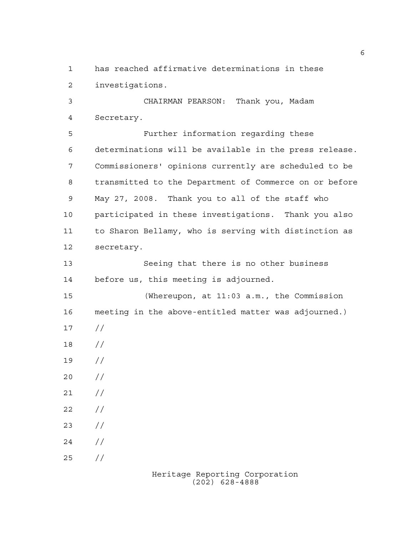has reached affirmative determinations in these investigations.

 CHAIRMAN PEARSON: Thank you, Madam Secretary.

 Further information regarding these determinations will be available in the press release. Commissioners' opinions currently are scheduled to be transmitted to the Department of Commerce on or before May 27, 2008. Thank you to all of the staff who participated in these investigations. Thank you also to Sharon Bellamy, who is serving with distinction as secretary.

 Seeing that there is no other business before us, this meeting is adjourned.

 (Whereupon, at 11:03 a.m., the Commission meeting in the above-entitled matter was adjourned.) // // //  $20 /$  $21 /$ 

 $22 / /$ 

 $23 / /$ 

 $24 /$ 

 $25 / /$ 

Heritage Reporting Corporation (202) 628-4888